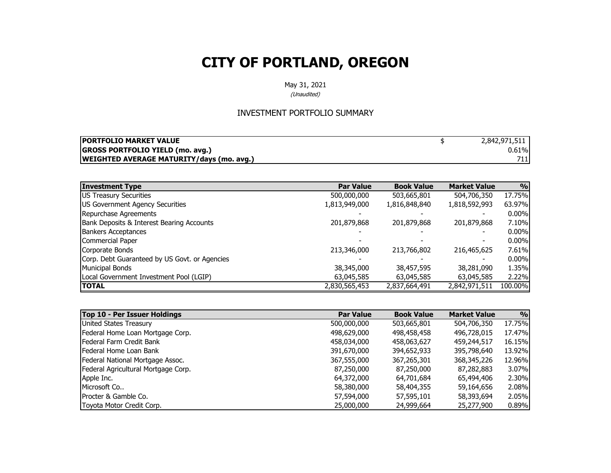May 31, 2021

(Unaudited)

#### INVESTMENT PORTFOLIO SUMMARY

| <b>IPORTFOLIO MARKET VALUE</b>                   | 2,842,971,511 |
|--------------------------------------------------|---------------|
| <b>GROSS PORTFOLIO YIELD (mo. avg.)</b>          | 0.61%         |
| <b>WEIGHTED AVERAGE MATURITY/days (mo. avg.)</b> |               |

| <b>Investment Type</b>                        | <b>Par Value</b> | <b>Book Value</b> | <b>Market Value</b> | 9/0      |
|-----------------------------------------------|------------------|-------------------|---------------------|----------|
| US Treasury Securities                        | 500,000,000      | 503,665,801       | 504,706,350         | 17.75%   |
| US Government Agency Securities               | 1,813,949,000    | 1,816,848,840     | 1,818,592,993       | 63.97%   |
| Repurchase Agreements                         |                  |                   |                     | $0.00\%$ |
| Bank Deposits & Interest Bearing Accounts     | 201,879,868      | 201,879,868       | 201,879,868         | 7.10%    |
| <b>Bankers Acceptances</b>                    |                  |                   |                     | $0.00\%$ |
| Commercial Paper                              |                  |                   |                     | $0.00\%$ |
| Corporate Bonds                               | 213,346,000      | 213,766,802       | 216,465,625         | 7.61%    |
| Corp. Debt Guaranteed by US Govt. or Agencies |                  |                   |                     | $0.00\%$ |
| <b>Municipal Bonds</b>                        | 38,345,000       | 38,457,595        | 38,281,090          | 1.35%    |
| Local Government Investment Pool (LGIP)       | 63,045,585       | 63,045,585        | 63,045,585          | 2.22%    |
| <b>TOTAL</b>                                  | 2,830,565,453    | 2,837,664,491     | 2,842,971,511       | 100.00%  |

| Top 10 - Per Issuer Holdings        | <b>Par Value</b> | <b>Book Value</b> | <b>Market Value</b> | 9/0      |
|-------------------------------------|------------------|-------------------|---------------------|----------|
| United States Treasury              | 500,000,000      | 503,665,801       | 504,706,350         | 17.75%   |
| Federal Home Loan Mortgage Corp.    | 498,629,000      | 498,458,458       | 496,728,015         | 17.47%   |
| <b>IFederal Farm Credit Bank</b>    | 458,034,000      | 458,063,627       | 459,244,517         | 16.15%   |
| lFederal Home Loan Bank             | 391,670,000      | 394,652,933       | 395,798,640         | 13.92%   |
| Federal National Mortgage Assoc.    | 367,555,000      | 367,265,301       | 368,345,226         | 12.96%   |
| Federal Agricultural Mortgage Corp. | 87,250,000       | 87,250,000        | 87,282,883          | 3.07%    |
| Apple Inc.                          | 64,372,000       | 64,701,684        | 65,494,406          | 2.30%    |
| Microsoft Co                        | 58,380,000       | 58,404,355        | 59,164,656          | 2.08%    |
| <b>IProcter &amp; Gamble Co.</b>    | 57,594,000       | 57,595,101        | 58,393,694          | 2.05%    |
| Toyota Motor Credit Corp.           | 25,000,000       | 24,999,664        | 25,277,900          | $0.89\%$ |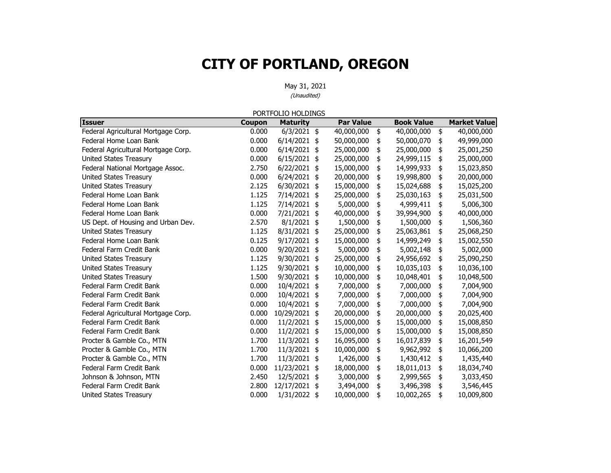|                                     |               | PORTFOLIO HOLDINGS |                  |                   |                     |
|-------------------------------------|---------------|--------------------|------------------|-------------------|---------------------|
| <b>Issuer</b>                       | <b>Coupon</b> | <b>Maturity</b>    | <b>Par Value</b> | <b>Book Value</b> | <b>Market Value</b> |
| Federal Agricultural Mortgage Corp. | 0.000         | $6/3/2021$ \$      | 40,000,000       | \$<br>40,000,000  | \$<br>40,000,000    |
| Federal Home Loan Bank              | 0.000         | 6/14/2021          | \$<br>50,000,000 | \$<br>50,000,070  | \$<br>49,999,000    |
| Federal Agricultural Mortgage Corp. | 0.000         | 6/14/2021          | \$<br>25,000,000 | \$<br>25,000,000  | \$<br>25,001,250    |
| <b>United States Treasury</b>       | 0.000         | $6/15/2021$ \$     | 25,000,000       | \$<br>24,999,115  | \$<br>25,000,000    |
| Federal National Mortgage Assoc.    | 2.750         | 6/22/2021          | \$<br>15,000,000 | \$<br>14,999,933  | \$<br>15,023,850    |
| United States Treasury              | 0.000         | 6/24/2021          | \$<br>20,000,000 | \$<br>19,998,800  | \$<br>20,000,000    |
| <b>United States Treasury</b>       | 2.125         | 6/30/2021 \$       | 15,000,000       | \$<br>15,024,688  | \$<br>15,025,200    |
| Federal Home Loan Bank              | 1.125         | 7/14/2021          | \$<br>25,000,000 | \$<br>25,030,163  | \$<br>25,031,500    |
| Federal Home Loan Bank              | 1.125         | 7/14/2021 \$       | 5,000,000        | \$<br>4,999,411   | \$<br>5,006,300     |
| Federal Home Loan Bank              | 0.000         | 7/21/2021 \$       | 40,000,000       | \$<br>39,994,900  | \$<br>40,000,000    |
| US Dept. of Housing and Urban Dev.  | 2.570         | $8/1/2021$ \$      | 1,500,000        | \$<br>1,500,000   | \$<br>1,506,360     |
| <b>United States Treasury</b>       | 1.125         | 8/31/2021          | \$<br>25,000,000 | \$<br>25,063,861  | \$<br>25,068,250    |
| Federal Home Loan Bank              | 0.125         | $9/17/2021$ \$     | 15,000,000       | \$<br>14,999,249  | \$<br>15,002,550    |
| Federal Farm Credit Bank            | 0.000         | 9/20/2021          | \$<br>5,000,000  | \$<br>5,002,148   | \$<br>5,002,000     |
| <b>United States Treasury</b>       | 1.125         | 9/30/2021          | \$<br>25,000,000 | \$<br>24,956,692  | \$<br>25,090,250    |
| <b>United States Treasury</b>       | 1.125         | 9/30/2021 \$       | 10,000,000       | \$<br>10,035,103  | \$<br>10,036,100    |
| <b>United States Treasury</b>       | 1.500         | 9/30/2021          | \$<br>10,000,000 | \$<br>10,048,401  | \$<br>10,048,500    |
| Federal Farm Credit Bank            | 0.000         | 10/4/2021 \$       | 7,000,000        | \$<br>7,000,000   | \$<br>7,004,900     |
| Federal Farm Credit Bank            | 0.000         | 10/4/2021 \$       | 7,000,000        | \$<br>7,000,000   | \$<br>7,004,900     |
| Federal Farm Credit Bank            | 0.000         | 10/4/2021          | \$<br>7,000,000  | \$<br>7,000,000   | \$<br>7,004,900     |
| Federal Agricultural Mortgage Corp. | 0.000         | 10/29/2021         | \$<br>20,000,000 | \$<br>20,000,000  | \$<br>20,025,400    |
| Federal Farm Credit Bank            | 0.000         | 11/2/2021          | \$<br>15,000,000 | \$<br>15,000,000  | \$<br>15,008,850    |
| Federal Farm Credit Bank            | 0.000         | 11/2/2021          | \$<br>15,000,000 | \$<br>15,000,000  | \$<br>15,008,850    |
| Procter & Gamble Co., MTN           | 1.700         | 11/3/2021 \$       | 16,095,000       | \$<br>16,017,839  | \$<br>16,201,549    |
| Procter & Gamble Co., MTN           | 1.700         | 11/3/2021          | \$<br>10,000,000 | \$<br>9,962,992   | \$<br>10,066,200    |
| Procter & Gamble Co., MTN           | 1.700         | 11/3/2021          | \$<br>1,426,000  | \$<br>1,430,412   | \$<br>1,435,440     |
| Federal Farm Credit Bank            | 0.000         | 11/23/2021 \$      | 18,000,000       | \$<br>18,011,013  | \$<br>18,034,740    |
| Johnson & Johnson, MTN              | 2.450         | 12/5/2021          | \$<br>3,000,000  | \$<br>2,999,565   | \$<br>3,033,450     |
| Federal Farm Credit Bank            | 2.800         | 12/17/2021         | \$<br>3,494,000  | \$<br>3,496,398   | \$<br>3,546,445     |
| <b>United States Treasury</b>       | 0.000         | 1/31/2022          | \$<br>10,000,000 | \$<br>10,002,265  | \$<br>10,009,800    |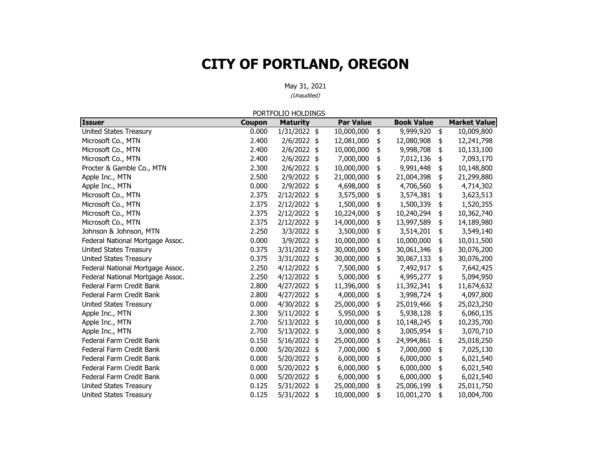|                                  |        | PORTFOLIO HOLDINGS |                  |                   |                     |
|----------------------------------|--------|--------------------|------------------|-------------------|---------------------|
| <b>Issuer</b>                    | Coupon | <b>Maturity</b>    | <b>Par Value</b> | <b>Book Value</b> | <b>Market Value</b> |
| United States Treasury           | 0.000  | $1/31/2022$ \$     | 10,000,000       | \$<br>9,999,920   | \$<br>10,009,800    |
| Microsoft Co., MTN               | 2.400  | $2/6/2022$ \$      | 12,081,000       | \$<br>12,080,908  | \$<br>12,241,798    |
| Microsoft Co., MTN               | 2.400  | 2/6/2022 \$        | 10,000,000       | \$<br>9,998,708   | \$<br>10,133,100    |
| Microsoft Co., MTN               | 2.400  | $2/6/2022$ \$      | 7,000,000        | \$<br>7,012,136   | \$<br>7,093,170     |
| Procter & Gamble Co., MTN        | 2.300  | 2/6/2022 \$        | 10,000,000       | \$<br>9,991,448   | \$<br>10,148,800    |
| Apple Inc., MTN                  | 2.500  | 2/9/2022 \$        | 21,000,000       | \$<br>21,004,398  | \$<br>21,299,880    |
| Apple Inc., MTN                  | 0.000  | 2/9/2022 \$        | 4,698,000        | \$<br>4,706,560   | \$<br>4,714,302     |
| Microsoft Co., MTN               | 2.375  | 2/12/2022 \$       | 3,575,000        | \$<br>3,574,381   | \$<br>3,623,513     |
| Microsoft Co., MTN               | 2.375  | 2/12/2022 \$       | 1,500,000        | \$<br>1,500,339   | \$<br>1,520,355     |
| Microsoft Co., MTN               | 2.375  | 2/12/2022 \$       | 10,224,000       | \$<br>10,240,294  | \$<br>10,362,740    |
| Microsoft Co., MTN               | 2.375  | 2/12/2022 \$       | 14,000,000       | \$<br>13,997,589  | \$<br>14,189,980    |
| Johnson & Johnson, MTN           | 2.250  | 3/3/2022 \$        | 3,500,000        | \$<br>3,514,201   | \$<br>3,549,140     |
| Federal National Mortgage Assoc. | 0.000  | 3/9/2022 \$        | 10,000,000       | \$<br>10,000,000  | \$<br>10,011,500    |
| <b>United States Treasury</b>    | 0.375  | 3/31/2022 \$       | 30,000,000       | \$<br>30,061,346  | \$<br>30,076,200    |
| <b>United States Treasury</b>    | 0.375  | 3/31/2022 \$       | 30,000,000       | \$<br>30,067,133  | \$<br>30,076,200    |
| Federal National Mortgage Assoc. | 2.250  | $4/12/2022$ \$     | 7,500,000        | \$<br>7,492,917   | \$<br>7,642,425     |
| Federal National Mortgage Assoc. | 2.250  | 4/12/2022 \$       | 5,000,000        | \$<br>4,995,277   | \$<br>5,094,950     |
| Federal Farm Credit Bank         | 2.800  | 4/27/2022 \$       | 11,396,000       | \$<br>11,392,341  | \$<br>11,674,632    |
| Federal Farm Credit Bank         | 2.800  | 4/27/2022 \$       | 4,000,000        | \$<br>3,998,724   | \$<br>4,097,800     |
| <b>United States Treasury</b>    | 0.000  | 4/30/2022 \$       | 25,000,000       | \$<br>25,019,466  | \$<br>25,023,250    |
| Apple Inc., MTN                  | 2.300  | 5/11/2022 \$       | 5,950,000        | \$<br>5,938,128   | \$<br>6,060,135     |
| Apple Inc., MTN                  | 2.700  | 5/13/2022 \$       | 10,000,000       | \$<br>10,148,245  | \$<br>10,235,700    |
| Apple Inc., MTN                  | 2.700  | 5/13/2022 \$       | 3,000,000        | \$<br>3,005,954   | \$<br>3,070,710     |
| Federal Farm Credit Bank         | 0.150  | 5/16/2022 \$       | 25,000,000       | \$<br>24,994,861  | \$<br>25,018,250    |
| Federal Farm Credit Bank         | 0.000  | 5/20/2022 \$       | 7,000,000        | \$<br>7,000,000   | \$<br>7,025,130     |
| Federal Farm Credit Bank         | 0.000  | 5/20/2022 \$       | 6,000,000        | \$<br>6,000,000   | \$<br>6,021,540     |
| Federal Farm Credit Bank         | 0.000  | 5/20/2022 \$       | 6,000,000        | \$<br>6,000,000   | \$<br>6,021,540     |
| Federal Farm Credit Bank         | 0.000  | 5/20/2022 \$       | 6,000,000        | \$<br>6,000,000   | \$<br>6,021,540     |
| United States Treasury           | 0.125  | 5/31/2022<br>\$    | 25,000,000       | \$<br>25,006,199  | \$<br>25,011,750    |
| United States Treasury           | 0.125  | 5/31/2022<br>\$    | 10,000,000       | \$<br>10,001,270  | \$<br>10,004,700    |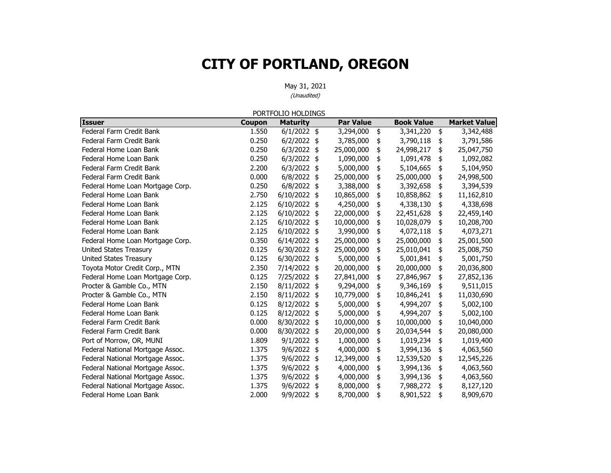|                                  |               | PORTFOLIO HOLDINGS |                  |                   |                     |
|----------------------------------|---------------|--------------------|------------------|-------------------|---------------------|
| <b>Issuer</b>                    | <b>Coupon</b> | <b>Maturity</b>    | <b>Par Value</b> | <b>Book Value</b> | <b>Market Value</b> |
| Federal Farm Credit Bank         | 1.550         | $6/1/2022$ \$      | 3,294,000        | \$<br>3,341,220   | \$<br>3,342,488     |
| Federal Farm Credit Bank         | 0.250         | $6/2/2022$ \$      | 3,785,000        | \$<br>3,790,118   | \$<br>3,791,586     |
| Federal Home Loan Bank           | 0.250         | $6/3/2022$ \$      | 25,000,000       | \$<br>24,998,217  | \$<br>25,047,750    |
| Federal Home Loan Bank           | 0.250         | $6/3/2022$ \$      | 1,090,000        | \$<br>1,091,478   | \$<br>1,092,082     |
| Federal Farm Credit Bank         | 2.200         | $6/3/2022$ \$      | 5,000,000        | \$<br>5,104,665   | \$<br>5,104,950     |
| Federal Farm Credit Bank         | 0.000         | $6/8/2022$ \$      | 25,000,000       | \$<br>25,000,000  | \$<br>24,998,500    |
| Federal Home Loan Mortgage Corp. | 0.250         | $6/8/2022$ \$      | 3,388,000        | \$<br>3,392,658   | \$<br>3,394,539     |
| Federal Home Loan Bank           | 2.750         | $6/10/2022$ \$     | 10,865,000       | \$<br>10,858,862  | \$<br>11,162,810    |
| Federal Home Loan Bank           | 2.125         | $6/10/2022$ \$     | 4,250,000        | \$<br>4,338,130   | \$<br>4,338,698     |
| Federal Home Loan Bank           | 2.125         | 6/10/2022 \$       | 22,000,000       | \$<br>22,451,628  | \$<br>22,459,140    |
| Federal Home Loan Bank           | 2.125         | $6/10/2022$ \$     | 10,000,000       | \$<br>10,028,079  | \$<br>10,208,700    |
| Federal Home Loan Bank           | 2.125         | 6/10/2022 \$       | 3,990,000        | \$<br>4,072,118   | \$<br>4,073,271     |
| Federal Home Loan Mortgage Corp. | 0.350         | $6/14/2022$ \$     | 25,000,000       | \$<br>25,000,000  | \$<br>25,001,500    |
| <b>United States Treasury</b>    | 0.125         | 6/30/2022 \$       | 25,000,000       | \$<br>25,010,041  | \$<br>25,008,750    |
| <b>United States Treasury</b>    | 0.125         | 6/30/2022 \$       | 5,000,000        | \$<br>5,001,841   | \$<br>5,001,750     |
| Toyota Motor Credit Corp., MTN   | 2.350         | 7/14/2022 \$       | 20,000,000       | \$<br>20,000,000  | \$<br>20,036,800    |
| Federal Home Loan Mortgage Corp. | 0.125         | 7/25/2022 \$       | 27,841,000       | \$<br>27,846,967  | \$<br>27,852,136    |
| Procter & Gamble Co., MTN        | 2.150         | 8/11/2022 \$       | 9,294,000        | \$<br>9,346,169   | \$<br>9,511,015     |
| Procter & Gamble Co., MTN        | 2.150         | 8/11/2022 \$       | 10,779,000       | \$<br>10,846,241  | \$<br>11,030,690    |
| Federal Home Loan Bank           | 0.125         | 8/12/2022 \$       | 5,000,000        | \$<br>4,994,207   | \$<br>5,002,100     |
| Federal Home Loan Bank           | 0.125         | 8/12/2022 \$       | 5,000,000        | \$<br>4,994,207   | \$<br>5,002,100     |
| Federal Farm Credit Bank         | 0.000         | 8/30/2022 \$       | 10,000,000       | \$<br>10,000,000  | \$<br>10,040,000    |
| Federal Farm Credit Bank         | 0.000         | 8/30/2022 \$       | 20,000,000       | \$<br>20,034,544  | \$<br>20,080,000    |
| Port of Morrow, OR, MUNI         | 1.809         | $9/1/2022$ \$      | 1,000,000        | \$<br>1,019,234   | \$<br>1,019,400     |
| Federal National Mortgage Assoc. | 1.375         | $9/6/2022$ \$      | 4,000,000        | \$<br>3,994,136   | \$<br>4,063,560     |
| Federal National Mortgage Assoc. | 1.375         | 9/6/2022 \$        | 12,349,000       | \$<br>12,539,520  | \$<br>12,545,226    |
| Federal National Mortgage Assoc. | 1.375         | $9/6/2022$ \$      | 4,000,000        | \$<br>3,994,136   | \$<br>4,063,560     |
| Federal National Mortgage Assoc. | 1.375         | 9/6/2022 \$        | 4,000,000        | \$<br>3,994,136   | \$<br>4,063,560     |
| Federal National Mortgage Assoc. | 1.375         | 9/6/2022 \$        | 8,000,000        | \$<br>7,988,272   | \$<br>8,127,120     |
| Federal Home Loan Bank           | 2.000         | 9/9/2022<br>\$     | 8,700,000        | \$<br>8,901,522   | \$<br>8,909,670     |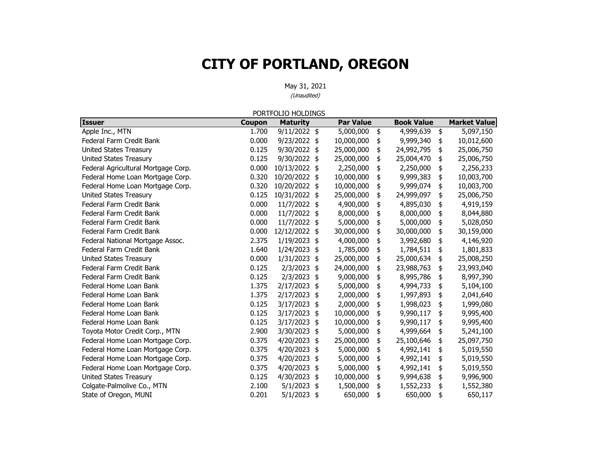|                                     |        | PORTFOLIO HOLDINGS |     |                  |                   |                     |
|-------------------------------------|--------|--------------------|-----|------------------|-------------------|---------------------|
| <b>Issuer</b>                       | Coupon | <b>Maturity</b>    |     | <b>Par Value</b> | <b>Book Value</b> | <b>Market Value</b> |
| Apple Inc., MTN                     | 1.700  | 9/11/2022 \$       |     | 5,000,000        | \$<br>4,999,639   | \$<br>5,097,150     |
| Federal Farm Credit Bank            | 0.000  | 9/23/2022 \$       |     | 10,000,000       | \$<br>9,999,340   | \$<br>10,012,600    |
| <b>United States Treasury</b>       | 0.125  | 9/30/2022 \$       |     | 25,000,000       | \$<br>24,992,795  | \$<br>25,006,750    |
| <b>United States Treasury</b>       | 0.125  | 9/30/2022 \$       |     | 25,000,000       | \$<br>25,004,470  | \$<br>25,006,750    |
| Federal Agricultural Mortgage Corp. | 0.000  | 10/13/2022 \$      |     | 2,250,000        | \$<br>2,250,000   | \$<br>2,256,233     |
| Federal Home Loan Mortgage Corp.    | 0.320  | 10/20/2022 \$      |     | 10,000,000       | \$<br>9,999,383   | \$<br>10,003,700    |
| Federal Home Loan Mortgage Corp.    | 0.320  | 10/20/2022 \$      |     | 10,000,000       | \$<br>9,999,074   | \$<br>10,003,700    |
| United States Treasury              | 0.125  | 10/31/2022 \$      |     | 25,000,000       | \$<br>24,999,097  | \$<br>25,006,750    |
| Federal Farm Credit Bank            | 0.000  | 11/7/2022 \$       |     | 4,900,000        | \$<br>4,895,030   | \$<br>4,919,159     |
| Federal Farm Credit Bank            | 0.000  | 11/7/2022 \$       |     | 8,000,000        | \$<br>8,000,000   | \$<br>8,044,880     |
| Federal Farm Credit Bank            | 0.000  | 11/7/2022 \$       |     | 5,000,000        | \$<br>5,000,000   | \$<br>5,028,050     |
| Federal Farm Credit Bank            | 0.000  | 12/12/2022         | \$  | 30,000,000       | \$<br>30,000,000  | \$<br>30,159,000    |
| Federal National Mortgage Assoc.    | 2.375  | 1/19/2023 \$       |     | 4,000,000        | \$<br>3,992,680   | \$<br>4,146,920     |
| Federal Farm Credit Bank            | 1.640  | 1/24/2023          | \$  | 1,785,000        | \$<br>1,784,511   | \$<br>1,801,833     |
| <b>United States Treasury</b>       | 0.000  | 1/31/2023          | \$  | 25,000,000       | \$<br>25,000,634  | \$<br>25,008,250    |
| Federal Farm Credit Bank            | 0.125  | 2/3/2023 \$        |     | 24,000,000       | \$<br>23,988,763  | \$<br>23,993,040    |
| Federal Farm Credit Bank            | 0.125  | 2/3/2023 \$        |     | 9,000,000        | \$<br>8,995,786   | \$<br>8,997,390     |
| Federal Home Loan Bank              | 1.375  | 2/17/2023          | \$  | 5,000,000        | \$<br>4,994,733   | \$<br>5,104,100     |
| Federal Home Loan Bank              | 1.375  | 2/17/2023          | \$  | 2,000,000        | \$<br>1,997,893   | \$<br>2,041,640     |
| Federal Home Loan Bank              | 0.125  | 3/17/2023          | \$  | 2,000,000        | \$<br>1,998,023   | \$<br>1,999,080     |
| Federal Home Loan Bank              | 0.125  | 3/17/2023          | -\$ | 10,000,000       | \$<br>9,990,117   | \$<br>9,995,400     |
| Federal Home Loan Bank              | 0.125  | 3/17/2023          | \$  | 10,000,000       | \$<br>9,990,117   | \$<br>9,995,400     |
| Toyota Motor Credit Corp., MTN      | 2.900  | 3/30/2023          | \$  | 5,000,000        | \$<br>4,999,664   | \$<br>5,241,100     |
| Federal Home Loan Mortgage Corp.    | 0.375  | 4/20/2023          | \$  | 25,000,000       | \$<br>25,100,646  | \$<br>25,097,750    |
| Federal Home Loan Mortgage Corp.    | 0.375  | 4/20/2023          | \$  | 5,000,000        | \$<br>4,992,141   | \$<br>5,019,550     |
| Federal Home Loan Mortgage Corp.    | 0.375  | 4/20/2023          | \$  | 5,000,000        | \$<br>4,992,141   | \$<br>5,019,550     |
| Federal Home Loan Mortgage Corp.    | 0.375  | 4/20/2023          | \$  | 5,000,000        | \$<br>4,992,141   | \$<br>5,019,550     |
| United States Treasury              | 0.125  | 4/30/2023          | \$  | 10,000,000       | \$<br>9,994,638   | \$<br>9,996,900     |
| Colgate-Palmolive Co., MTN          | 2.100  | 5/1/2023           | \$  | 1,500,000        | \$<br>1,552,233   | \$<br>1,552,380     |
| State of Oregon, MUNI               | 0.201  | 5/1/2023           | \$  | 650,000          | \$<br>650,000     | \$<br>650,117       |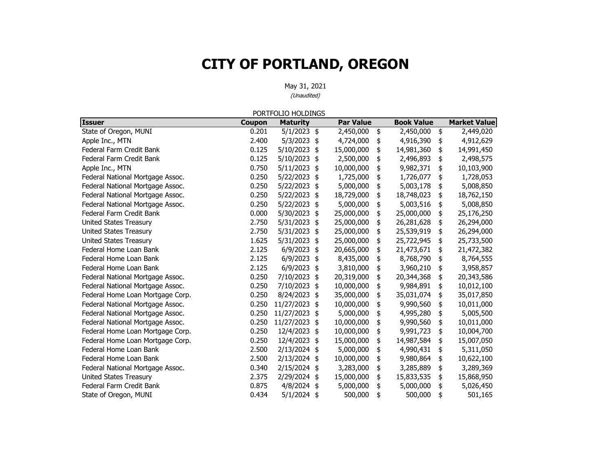|                                  |               | PORTFOLIO HOLDINGS |                  |                   |                     |
|----------------------------------|---------------|--------------------|------------------|-------------------|---------------------|
| <b>Issuer</b>                    | <b>Coupon</b> | <b>Maturity</b>    | <b>Par Value</b> | <b>Book Value</b> | <b>Market Value</b> |
| State of Oregon, MUNI            | 0.201         | $5/1/2023$ \$      | 2,450,000        | \$<br>2,450,000   | \$<br>2,449,020     |
| Apple Inc., MTN                  | 2.400         | 5/3/2023 \$        | 4,724,000        | \$<br>4,916,390   | \$<br>4,912,629     |
| Federal Farm Credit Bank         | 0.125         | 5/10/2023 \$       | 15,000,000       | \$<br>14,981,360  | \$<br>14,991,450    |
| Federal Farm Credit Bank         | 0.125         | 5/10/2023          | \$<br>2,500,000  | \$<br>2,496,893   | \$<br>2,498,575     |
| Apple Inc., MTN                  | 0.750         | $5/11/2023$ \$     | 10,000,000       | \$<br>9,982,371   | \$<br>10,103,900    |
| Federal National Mortgage Assoc. | 0.250         | 5/22/2023 \$       | 1,725,000        | \$<br>1,726,077   | \$<br>1,728,053     |
| Federal National Mortgage Assoc. | 0.250         | 5/22/2023          | \$<br>5,000,000  | \$<br>5,003,178   | \$<br>5,008,850     |
| Federal National Mortgage Assoc. | 0.250         | 5/22/2023          | \$<br>18,729,000 | \$<br>18,748,023  | \$<br>18,762,150    |
| Federal National Mortgage Assoc. | 0.250         | 5/22/2023          | \$<br>5,000,000  | \$<br>5,003,516   | \$<br>5,008,850     |
| Federal Farm Credit Bank         | 0.000         | 5/30/2023          | \$<br>25,000,000 | \$<br>25,000,000  | \$<br>25,176,250    |
| <b>United States Treasury</b>    | 2.750         | 5/31/2023          | \$<br>25,000,000 | \$<br>26,281,628  | \$<br>26,294,000    |
| United States Treasury           | 2.750         | 5/31/2023          | \$<br>25,000,000 | \$<br>25,539,919  | \$<br>26,294,000    |
| United States Treasury           | 1.625         | 5/31/2023          | \$<br>25,000,000 | \$<br>25,722,945  | \$<br>25,733,500    |
| Federal Home Loan Bank           | 2.125         | 6/9/2023           | \$<br>20,665,000 | \$<br>21,473,671  | 21,472,382          |
| Federal Home Loan Bank           | 2.125         | 6/9/2023           | \$<br>8,435,000  | \$<br>8,768,790   | \$<br>8,764,555     |
| Federal Home Loan Bank           | 2.125         | $6/9/2023$ \$      | 3,810,000        | \$<br>3,960,210   | \$<br>3,958,857     |
| Federal National Mortgage Assoc. | 0.250         | 7/10/2023          | \$<br>20,319,000 | \$<br>20,344,368  | \$<br>20,343,586    |
| Federal National Mortgage Assoc. | 0.250         | 7/10/2023          | \$<br>10,000,000 | \$<br>9,984,891   | \$<br>10,012,100    |
| Federal Home Loan Mortgage Corp. | 0.250         | 8/24/2023 \$       | 35,000,000       | \$<br>35,031,074  | \$<br>35,017,850    |
| Federal National Mortgage Assoc. | 0.250         | 11/27/2023         | \$<br>10,000,000 | \$<br>9,990,560   | \$<br>10,011,000    |
| Federal National Mortgage Assoc. | 0.250         | 11/27/2023         | \$<br>5,000,000  | \$<br>4,995,280   | \$<br>5,005,500     |
| Federal National Mortgage Assoc. | 0.250         | 11/27/2023         | \$<br>10,000,000 | \$<br>9,990,560   | \$<br>10,011,000    |
| Federal Home Loan Mortgage Corp. | 0.250         | 12/4/2023          | \$<br>10,000,000 | \$<br>9,991,723   | \$<br>10,004,700    |
| Federal Home Loan Mortgage Corp. | 0.250         | 12/4/2023          | \$<br>15,000,000 | \$<br>14,987,584  | \$<br>15,007,050    |
| Federal Home Loan Bank           | 2.500         | 2/13/2024 \$       | 5,000,000        | \$<br>4,990,431   | \$<br>5,311,050     |
| Federal Home Loan Bank           | 2.500         | 2/13/2024          | \$<br>10,000,000 | \$<br>9,980,864   | \$<br>10,622,100    |
| Federal National Mortgage Assoc. | 0.340         | 2/15/2024 \$       | 3,283,000        | \$<br>3,285,889   | \$<br>3,289,369     |
| United States Treasury           | 2.375         | 2/29/2024 \$       | 15,000,000       | \$<br>15,833,535  | \$<br>15,868,950    |
| Federal Farm Credit Bank         | 0.875         | $4/8/2024$ \$      | 5,000,000        | \$<br>5,000,000   | \$<br>5,026,450     |
| State of Oregon, MUNI            | 0.434         | 5/1/2024 \$        | 500,000          | \$<br>500,000     | \$<br>501,165       |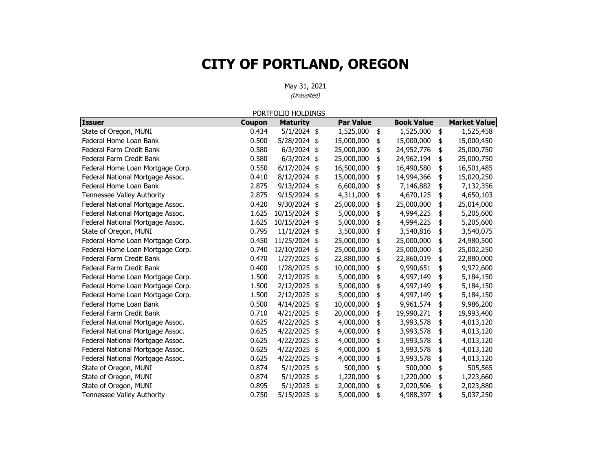|                                  |        | PORTFOLIO HOLDINGS |                  |                   |                     |
|----------------------------------|--------|--------------------|------------------|-------------------|---------------------|
| <b>Issuer</b>                    | Coupon | <b>Maturity</b>    | <b>Par Value</b> | <b>Book Value</b> | <b>Market Value</b> |
| State of Oregon, MUNI            | 0.434  | $5/1/2024$ \$      | 1,525,000        | \$<br>1,525,000   | \$<br>1,525,458     |
| Federal Home Loan Bank           | 0.500  | 5/28/2024 \$       | 15,000,000       | \$<br>15,000,000  | \$<br>15,000,450    |
| Federal Farm Credit Bank         | 0.580  | $6/3/2024$ \$      | 25,000,000       | \$<br>24,952,776  | \$<br>25,000,750    |
| Federal Farm Credit Bank         | 0.580  | $6/3/2024$ \$      | 25,000,000       | \$<br>24,962,194  | \$<br>25,000,750    |
| Federal Home Loan Mortgage Corp. | 0.550  | $6/17/2024$ \$     | 16,500,000       | \$<br>16,490,580  | \$<br>16,501,485    |
| Federal National Mortgage Assoc. | 0.410  | 8/12/2024 \$       | 15,000,000       | \$<br>14,994,366  | \$<br>15,020,250    |
| Federal Home Loan Bank           | 2.875  | 9/13/2024 \$       | 6,600,000        | \$<br>7,146,882   | \$<br>7,132,356     |
| Tennessee Valley Authority       | 2.875  | 9/15/2024 \$       | 4,311,000        | \$<br>4,670,125   | \$<br>4,650,103     |
| Federal National Mortgage Assoc. | 0.420  | 9/30/2024 \$       | 25,000,000       | \$<br>25,000,000  | \$<br>25,014,000    |
| Federal National Mortgage Assoc. | 1.625  | 10/15/2024 \$      | 5,000,000        | \$<br>4,994,225   | \$<br>5,205,600     |
| Federal National Mortgage Assoc. | 1.625  | 10/15/2024 \$      | 5,000,000        | \$<br>4,994,225   | \$<br>5,205,600     |
| State of Oregon, MUNI            | 0.795  | $11/1/2024$ \$     | 3,500,000        | \$<br>3,540,816   | \$<br>3,540,075     |
| Federal Home Loan Mortgage Corp. | 0.450  | 11/25/2024 \$      | 25,000,000       | \$<br>25,000,000  | \$<br>24,980,500    |
| Federal Home Loan Mortgage Corp. | 0.740  | 12/10/2024 \$      | 25,000,000       | \$<br>25,000,000  | \$<br>25,002,250    |
| Federal Farm Credit Bank         | 0.470  | 1/27/2025          | \$<br>22,880,000 | \$<br>22,860,019  | \$<br>22,880,000    |
| Federal Farm Credit Bank         | 0.400  | 1/28/2025 \$       | 10,000,000       | \$<br>9,990,651   | \$<br>9,972,600     |
| Federal Home Loan Mortgage Corp. | 1.500  | 2/12/2025 \$       | 5,000,000        | \$<br>4,997,149   | \$<br>5,184,150     |
| Federal Home Loan Mortgage Corp. | 1.500  | 2/12/2025 \$       | 5,000,000        | \$<br>4,997,149   | \$<br>5,184,150     |
| Federal Home Loan Mortgage Corp. | 1.500  | 2/12/2025 \$       | 5,000,000        | \$<br>4,997,149   | \$<br>5,184,150     |
| Federal Home Loan Bank           | 0.500  | 4/14/2025          | \$<br>10,000,000 | \$<br>9,961,574   | \$<br>9,986,200     |
| Federal Farm Credit Bank         | 0.710  | $4/21/2025$ \$     | 20,000,000       | \$<br>19,990,271  | \$<br>19,993,400    |
| Federal National Mortgage Assoc. | 0.625  | $4/22/2025$ \$     | 4,000,000        | \$<br>3,993,578   | \$<br>4,013,120     |
| Federal National Mortgage Assoc. | 0.625  | 4/22/2025 \$       | 4,000,000        | \$<br>3,993,578   | \$<br>4,013,120     |
| Federal National Mortgage Assoc. | 0.625  | 4/22/2025 \$       | 4,000,000        | \$<br>3,993,578   | \$<br>4,013,120     |
| Federal National Mortgage Assoc. | 0.625  | 4/22/2025          | \$<br>4,000,000  | \$<br>3,993,578   | \$<br>4,013,120     |
| Federal National Mortgage Assoc. | 0.625  | 4/22/2025          | \$<br>4,000,000  | \$<br>3,993,578   | \$<br>4,013,120     |
| State of Oregon, MUNI            | 0.874  | $5/1/2025$ \$      | 500,000          | \$<br>500,000     | \$<br>505,565       |
| State of Oregon, MUNI            | 0.874  | 5/1/2025 \$        | 1,220,000        | \$<br>1,220,000   | \$<br>1,223,660     |
| State of Oregon, MUNI            | 0.895  | 5/1/2025 \$        | 2,000,000        | \$<br>2,020,506   | \$<br>2,023,880     |
| Tennessee Valley Authority       | 0.750  | 5/15/2025          | \$<br>5,000,000  | \$<br>4,988,397   | \$<br>5,037,250     |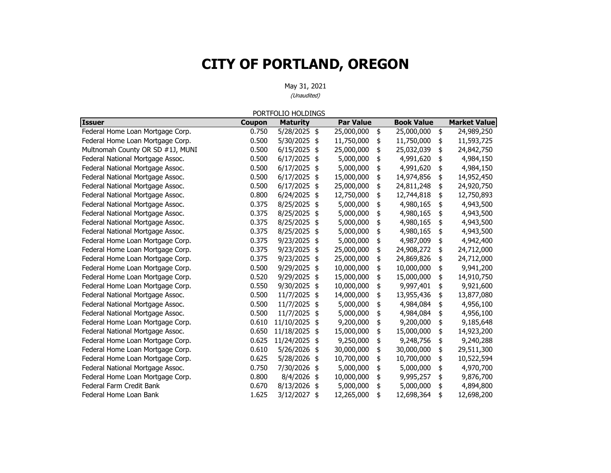|                                  |               | PORTFOLIO HOLDINGS |                  |                   |                     |
|----------------------------------|---------------|--------------------|------------------|-------------------|---------------------|
| <b>Issuer</b>                    | <b>Coupon</b> | <b>Maturity</b>    | <b>Par Value</b> | <b>Book Value</b> | <b>Market Value</b> |
| Federal Home Loan Mortgage Corp. | 0.750         | 5/28/2025 \$       | 25,000,000       | \$<br>25,000,000  | \$<br>24,989,250    |
| Federal Home Loan Mortgage Corp. | 0.500         | 5/30/2025 \$       | 11,750,000       | \$<br>11,750,000  | \$<br>11,593,725    |
| Multnomah County OR SD #1J, MUNI | 0.500         | 6/15/2025          | \$<br>25,000,000 | \$<br>25,032,039  | \$<br>24,842,750    |
| Federal National Mortgage Assoc. | 0.500         | 6/17/2025          | \$<br>5,000,000  | \$<br>4,991,620   | \$<br>4,984,150     |
| Federal National Mortgage Assoc. | 0.500         | $6/17/2025$ \$     | 5,000,000        | \$<br>4,991,620   | \$<br>4,984,150     |
| Federal National Mortgage Assoc. | 0.500         | 6/17/2025          | \$<br>15,000,000 | \$<br>14,974,856  | \$<br>14,952,450    |
| Federal National Mortgage Assoc. | 0.500         | 6/17/2025          | \$<br>25,000,000 | \$<br>24,811,248  | \$<br>24,920,750    |
| Federal National Mortgage Assoc. | 0.800         | 6/24/2025          | \$<br>12,750,000 | \$<br>12,744,818  | \$<br>12,750,893    |
| Federal National Mortgage Assoc. | 0.375         | 8/25/2025          | \$<br>5,000,000  | \$<br>4,980,165   | \$<br>4,943,500     |
| Federal National Mortgage Assoc. | 0.375         | 8/25/2025          | \$<br>5,000,000  | \$<br>4,980,165   | \$<br>4,943,500     |
| Federal National Mortgage Assoc. | 0.375         | 8/25/2025          | \$<br>5,000,000  | \$<br>4,980,165   | \$<br>4,943,500     |
| Federal National Mortgage Assoc. | 0.375         | 8/25/2025          | \$<br>5,000,000  | \$<br>4,980,165   | \$<br>4,943,500     |
| Federal Home Loan Mortgage Corp. | 0.375         | 9/23/2025 \$       | 5,000,000        | \$<br>4,987,009   | \$<br>4,942,400     |
| Federal Home Loan Mortgage Corp. | 0.375         | 9/23/2025          | \$<br>25,000,000 | \$<br>24,908,272  | \$<br>24,712,000    |
| Federal Home Loan Mortgage Corp. | 0.375         | 9/23/2025          | \$<br>25,000,000 | \$<br>24,869,826  | \$<br>24,712,000    |
| Federal Home Loan Mortgage Corp. | 0.500         | 9/29/2025          | \$<br>10,000,000 | \$<br>10,000,000  | \$<br>9,941,200     |
| Federal Home Loan Mortgage Corp. | 0.520         | 9/29/2025          | \$<br>15,000,000 | \$<br>15,000,000  | \$<br>14,910,750    |
| Federal Home Loan Mortgage Corp. | 0.550         | 9/30/2025          | \$<br>10,000,000 | \$<br>9,997,401   | \$<br>9,921,600     |
| Federal National Mortgage Assoc. | 0.500         | 11/7/2025 \$       | 14,000,000       | \$<br>13,955,436  | \$<br>13,877,080    |
| Federal National Mortgage Assoc. | 0.500         | 11/7/2025          | \$<br>5,000,000  | \$<br>4,984,084   | \$<br>4,956,100     |
| Federal National Mortgage Assoc. | 0.500         | 11/7/2025          | \$<br>5,000,000  | \$<br>4,984,084   | \$<br>4,956,100     |
| Federal Home Loan Mortgage Corp. | 0.610         | 11/10/2025         | \$<br>9,200,000  | \$<br>9,200,000   | \$<br>9,185,648     |
| Federal National Mortgage Assoc. | 0.650         | 11/18/2025         | \$<br>15,000,000 | \$<br>15,000,000  | \$<br>14,923,200    |
| Federal Home Loan Mortgage Corp. | 0.625         | 11/24/2025         | \$<br>9,250,000  | \$<br>9,248,756   | \$<br>9,240,288     |
| Federal Home Loan Mortgage Corp. | 0.610         | 5/26/2026          | \$<br>30,000,000 | \$<br>30,000,000  | \$<br>29,511,300    |
| Federal Home Loan Mortgage Corp. | 0.625         | 5/28/2026          | \$<br>10,700,000 | \$<br>10,700,000  | \$<br>10,522,594    |
| Federal National Mortgage Assoc. | 0.750         | 7/30/2026          | \$<br>5,000,000  | \$<br>5,000,000   | \$<br>4,970,700     |
| Federal Home Loan Mortgage Corp. | 0.800         | 8/4/2026           | \$<br>10,000,000 | \$<br>9,995,257   | \$<br>9,876,700     |
| Federal Farm Credit Bank         | 0.670         | 8/13/2026          | \$<br>5,000,000  | \$<br>5,000,000   | \$<br>4,894,800     |
| Federal Home Loan Bank           | 1.625         | 3/12/2027          | \$<br>12,265,000 | \$<br>12,698,364  | \$<br>12,698,200    |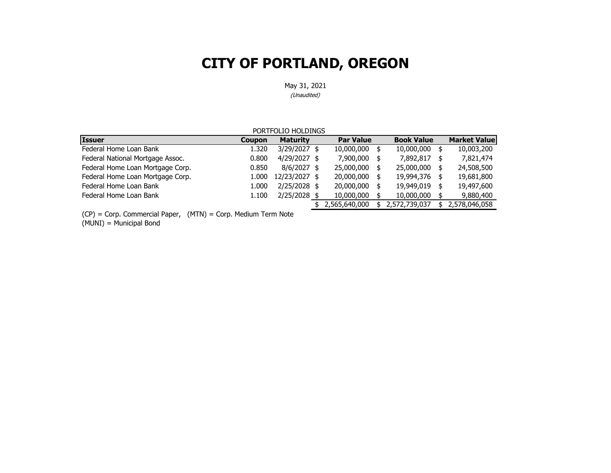May 31, 2021

(Unaudited)

| PORTFOLIO HOLDINGS                                       |               |                 |  |                  |   |                   |      |                     |
|----------------------------------------------------------|---------------|-----------------|--|------------------|---|-------------------|------|---------------------|
| <b>Issuer</b>                                            | <b>Coupon</b> | <b>Maturity</b> |  | <b>Par Value</b> |   | <b>Book Value</b> |      | <b>Market Value</b> |
| Federal Home Loan Bank                                   | 1.320         | 3/29/2027 \$    |  | 10,000,000       | 5 | 10,000,000        | - \$ | 10,003,200          |
| Federal National Mortgage Assoc.                         | 0.800         | $4/29/2027$ \$  |  | 7,900,000        |   | 7,892,817         |      | 7,821,474           |
| Federal Home Loan Mortgage Corp.                         | 0.850         | $8/6/2027$ \$   |  | 25,000,000       |   | 25,000,000        | - \$ | 24,508,500          |
| Federal Home Loan Mortgage Corp.                         | 1.000         | 12/23/2027 \$   |  | 20,000,000       |   | 19,994,376        | - \$ | 19,681,800          |
| Federal Home Loan Bank                                   | 1.000         | $2/25/2028$ \$  |  | 20,000,000       |   | 19,949,019        |      | 19,497,600          |
| Federal Home Loan Bank                                   | 1.100         | 2/25/2028 \$    |  | 10,000,000       |   | 10,000,000        |      | 9,880,400           |
|                                                          |               |                 |  | 2,565,640,000    |   | 2,572,739,037     |      | 2,578,046,058       |
| $\cdot$ $\cdot$ $\sim$<br>$\sim$<br>$\sim$ $\sim$ $\sim$ |               |                 |  |                  |   |                   |      |                     |

(CP) = Corp. Commercial Paper, (MTN) = Corp. Medium Term Note

(MUNI) = Municipal Bond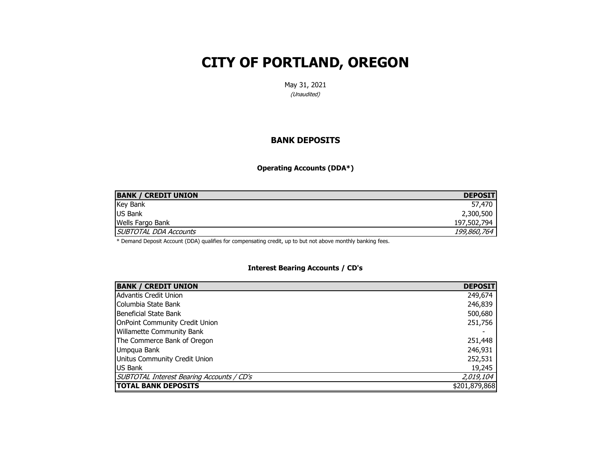May 31, 2021 (Unaudited)

#### **BANK DEPOSITS**

**Operating Accounts (DDA\*)**

| <b>BANK / CREDIT UNION</b>   | <b>DEPOSIT</b> |
|------------------------------|----------------|
| <b>Key Bank</b>              | 57,470         |
| <b>US Bank</b>               | 2,300,500      |
| Wells Fargo Bank             | 197,502,794    |
| <b>SUBTOTAL DDA Accounts</b> | 199,860,764    |

\* Demand Deposit Account (DDA) qualifies for compensating credit, up to but not above monthly banking fees.

#### **Interest Bearing Accounts / CD's**

| <b>BANK / CREDIT UNION</b>                | <b>DEPOSIT</b> |
|-------------------------------------------|----------------|
| Advantis Credit Union                     | 249,674        |
| Columbia State Bank                       | 246,839        |
| Beneficial State Bank                     | 500,680        |
| <b>OnPoint Community Credit Union</b>     | 251,756        |
| <b>Willamette Community Bank</b>          |                |
| The Commerce Bank of Oregon               | 251,448        |
| Umpqua Bank                               | 246,931        |
| Unitus Community Credit Union             | 252,531        |
| <b>US Bank</b>                            | 19,245         |
| SUBTOTAL Interest Bearing Accounts / CD's | 2,019,104      |
| <b>TOTAL BANK DEPOSITS</b>                | \$201,879,868  |